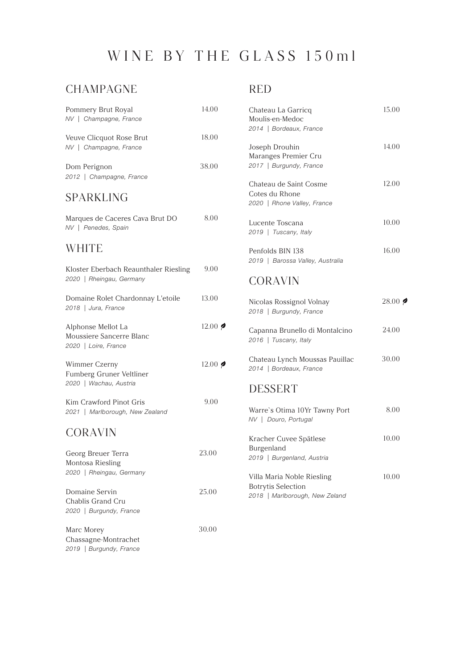# WINE BY THE GLASS 150ml

#### CHAMPAGNE

| Pommery Brut Royal<br>NV   Champagne, France                           | 14.00           |
|------------------------------------------------------------------------|-----------------|
| Veuve Clicquot Rose Brut<br>NV   Champagne, France                     | 18.00           |
| Dom Perignon<br>2012   Champagne, France                               | 38.00           |
| <b>SPARKLING</b>                                                       |                 |
| Marques de Caceres Cava Brut DO<br>NV   Penedes, Spain                 | 8.00            |
| <b>WHITE</b>                                                           |                 |
| Kloster Eberbach Reaunthaler Riesling<br>2020   Rheingau, Germany      | 9.00            |
| Domaine Rolet Chardonnay L'etoile<br>2018   Jura, France               | 13.00           |
| Alphonse Mellot La<br>Moussiere Sancerre Blanc<br>2020   Loire, France | $12.00$ $\phi$  |
| Wimmer Czerny<br>Fumberg Gruner Veltliner<br>2020   Wachau, Austria    | $12.00 \, \phi$ |
| Kim Crawford Pinot Gris<br>2021   Marlborough, New Zealand             | 9.00            |
| <b>CORAVIN</b>                                                         |                 |
| Georg Breuer Terra<br>Montosa Riesling<br>2020   Rheingau, Germany     | 23.00           |
| Domaine Servin<br>Chablis Grand Cru<br>2020   Burgundy, France         | 25.00           |
| Marc Morey<br>Chassagne-Montrachet<br>2019   Burgundy, France          | 30.00           |

#### RED

| Chateau La Garricg<br>Moulis-en-Medoc<br>2014   Bordeaux, France        | 15.00 |
|-------------------------------------------------------------------------|-------|
| Joseph Drouhin<br>Maranges Premier Cru<br>2017   Burgundy, France       | 14.00 |
| Chateau de Saint Cosme<br>Cotes du Rhone<br>2020   Rhone Valley, France | 12.00 |
| Lucente Toscana<br>2019   Tuscany, Italy                                | 10.00 |
| Penfolds BIN 138<br>2019   Barossa Valley, Australia                    | 16.00 |

### CORAVIN

| Nicolas Rossignol Volnay<br>2018   Burgundy, France       | $28.00$ $\approx$ |
|-----------------------------------------------------------|-------------------|
| Capanna Brunello di Montalcino<br>2016   Tuscany, Italy   | 24.00             |
| Chateau Lynch Moussas Pauillac<br>2014   Bordeaux, France | 30.00             |
| <b>DESSERT</b>                                            |                   |
| Warre's Otima 10Yr Tawny Port<br>NV   Douro, Portugal     | 8.00              |
| Kracher Cuvee Snätlese                                    |                   |

| Kracher Cuvee Spätlese         | 10.00 |
|--------------------------------|-------|
| Burgenland                     |       |
| 2019   Burgenland, Austria     |       |
|                                |       |
| Villa Maria Noble Riesling     | 10.00 |
| <b>Botrytis Selection</b>      |       |
| 2018   Marlborough, New Zeland |       |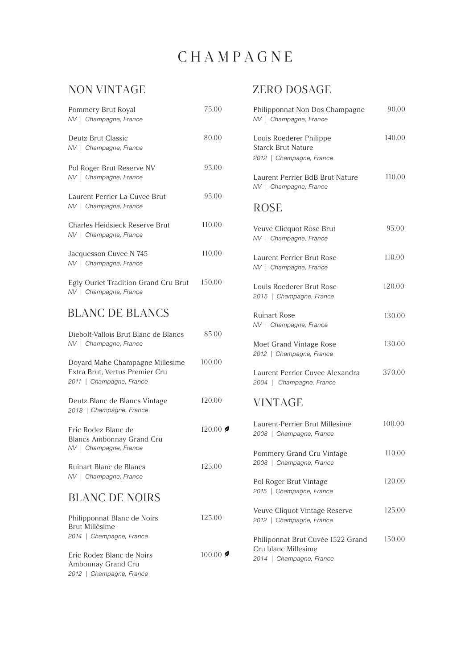### CHAMPAGNE

#### NON VINTAGE

| Pommery Brut Royal<br>NV   Champagne, France                                                  | 75.00                          |
|-----------------------------------------------------------------------------------------------|--------------------------------|
| Deutz Brut Classic<br>NV   Champagne, France                                                  | 80.00                          |
| Pol Roger Brut Reserve NV<br>NV   Champagne, France                                           | 95.00                          |
| Laurent Perrier La Cuvee Brut<br>NV   Champagne, France                                       | 95.00                          |
| Charles Heidsieck Reserve Brut<br>NV   Champagne, France                                      | 110.00                         |
| Jacquesson Cuvee N 745<br>NV   Champagne, France                                              | 110.00                         |
| Egly-Ouriet Tradition Grand Cru Brut<br>NV   Champagne, France                                | 150.00                         |
| <b>BLANC DE BLANCS</b>                                                                        |                                |
| Diebolt-Vallois Brut Blanc de Blancs<br>NV   Champagne, France                                | 85.00                          |
| Doyard Mahe Champagne Millesime<br>Extra Brut, Vertus Premier Cru<br>2011   Champagne, France | 100.00                         |
| Deutz Blanc de Blancs Vintage<br>2018   Champagne, France                                     | 120.00                         |
| Eric Rodez Blanc de<br><b>Blancs Ambonnay Grand Cru</b><br>NV   Champagne, France             | $120.00$ $\blacktriangleright$ |
| Ruinart Blanc de Blancs<br>NV   Champagne, France                                             | 125.00                         |
| <b>BLANC DE NOIRS</b>                                                                         |                                |
| Philipponnat Blanc de Noirs<br>Brut Millèsime<br>2014   Champagne, France                     | 125.00                         |
| Eric Rodez Blanc de Noirs                                                                     | $100.00$ $\approx$             |

Ambonnay Grand Cru *2012 | Champagne, France*

#### ZERO DOSAGE

| Philipponnat Non Dos Champagne<br>NV   Champagne, France                             | 90.00  |
|--------------------------------------------------------------------------------------|--------|
| Louis Roederer Philippe<br>Starck Brut Nature<br>2012   Champagne, France            | 140.00 |
| Laurent Perrier BdB Brut Nature<br>NV   Champagne, France                            | 110.00 |
| <b>ROSE</b>                                                                          |        |
| Veuve Clicquot Rose Brut<br>NV   Champagne, France                                   | 95.00  |
| Laurent-Perrier Brut Rose<br>NV   Champagne, France                                  | 110.00 |
| Louis Roederer Brut Rose<br>2015   Champagne, France                                 | 120.00 |
| <b>Ruinart Rose</b><br>NV   Champagne, France                                        | 130.00 |
| Moet Grand Vintage Rose<br>2012   Champagne, France                                  | 130.00 |
| Laurent Perrier Cuvee Alexandra<br>2004   Champagne, France                          | 370.00 |
| <b>VINTAGE</b>                                                                       |        |
| Laurent-Perrier Brut Millesime<br>2008   Champagne, France                           | 100.00 |
| Pommery Grand Cru Vintage<br>2008   Champagne, France                                | 110.00 |
| Pol Roger Brut Vintage<br>2015   Champagne, France                                   | 120.00 |
| Veuve Cliquot Vintage Reserve<br>2012   Champagne, France                            | 125.00 |
| Philiponnat Brut Cuvée 1522 Grand<br>Cru blanc Millesime<br>2014   Champagne, France | 150.00 |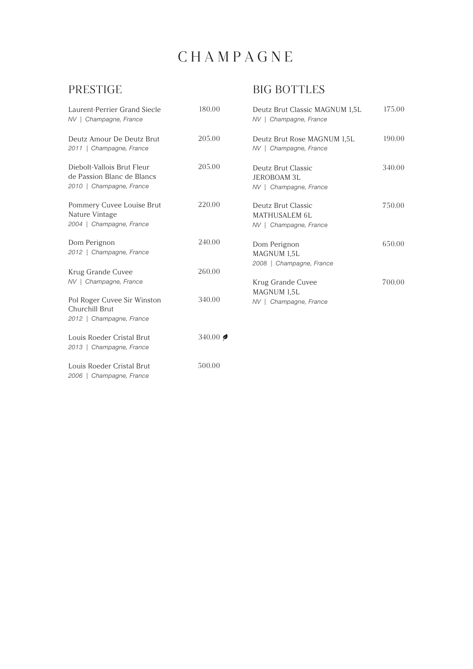# CHAMPAGNE

### PRESTIGE

### BIG BOTTLES

| Laurent-Perrier Grand Siecle<br>NV   Champagne, France                               | 180.00              | Deutz Brut Classic MAGNUM 1,5L<br>NV   Champagne, France             | 175.00 |
|--------------------------------------------------------------------------------------|---------------------|----------------------------------------------------------------------|--------|
| Deutz Amour De Deutz Brut<br>2011   Champagne, France                                | 205.00              | Deutz Brut Rose MAGNUM 1,5L<br>NV   Champagne, France                | 190.00 |
| Diebolt-Vallois Brut Fleur<br>de Passion Blanc de Blancs<br>2010   Champagne, France | 205.00              | Deutz Brut Classic<br><b>JEROBOAM 3L</b><br>NV   Champagne, France   | 340.00 |
| Pommery Cuvee Louise Brut<br>Nature Vintage<br>2004   Champagne, France              | 220.00              | Deutz Brut Classic<br><b>MATHUSALEM 6L</b><br>NV   Champagne, France | 750.00 |
| Dom Perignon<br>2012   Champagne, France                                             | 240.00              | Dom Perignon<br>MAGNUM 1,5L<br>2008   Champagne, France              | 650.00 |
| Krug Grande Cuvee<br>NV   Champagne, France                                          | 260.00              | Krug Grande Cuvee                                                    | 700.00 |
| Pol Roger Cuvee Sir Winston<br>Churchill Brut<br>2012   Champagne, France            | 340.00              | MAGNUM 1,5L<br>NV   Champagne, France                                |        |
| Louis Roeder Cristal Brut<br>2013   Champagne, France                                | 340.00 $\bigotimes$ |                                                                      |        |
| Louis Roeder Cristal Brut<br>2006   Champagne, France                                | 500.00              |                                                                      |        |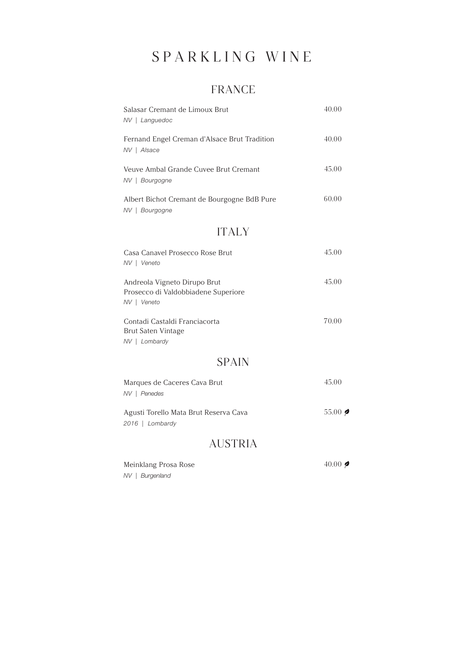# SPARKLING WINE

#### FRANCE

| Salasar Cremant de Limoux Brut<br>NV   Languedoc                                   | 40.00               |  |  |
|------------------------------------------------------------------------------------|---------------------|--|--|
| Fernand Engel Creman d'Alsace Brut Tradition<br>NV   Alsace                        |                     |  |  |
| Veuve Ambal Grande Cuvee Brut Cremant<br>NV   Bourgogne                            | 45.00               |  |  |
| Albert Bichot Cremant de Bourgogne BdB Pure<br>NV   Bourgogne                      | 60.00               |  |  |
| <b>ITALY</b>                                                                       |                     |  |  |
| Casa Canavel Prosecco Rose Brut<br>NV   Veneto                                     | 45.00               |  |  |
| Andreola Vigneto Dirupo Brut<br>Prosecco di Valdobbiadene Superiore<br>NV   Veneto | 45.00               |  |  |
| Contadi Castaldi Franciacorta<br>Brut Saten Vintage<br>NV   Lombardy               | 70.00               |  |  |
| <b>SPAIN</b>                                                                       |                     |  |  |
| Marques de Caceres Cava Brut<br>NV   Penedes                                       | 45.00               |  |  |
| Agusti Torello Mata Brut Reserva Cava<br>2016   Lombardy                           | $55.00$ $\triangle$ |  |  |
|                                                                                    |                     |  |  |

#### AUSTRIA

Meinklang Prosa Rose *NV | Burgenland*

40.00  $\bigcirc$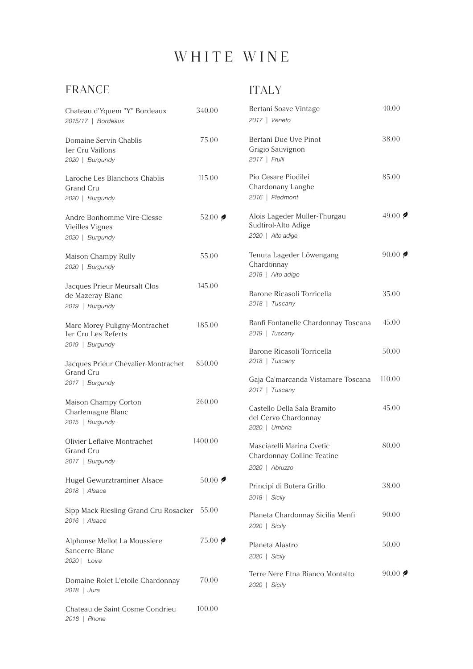### WHITE WINE

#### FRANCE

*2018 | Rhone*

#### ITALY

| Chateau d'Yquem "Y" Bordeaux<br>2015/17   Bordeaux                  | 340.00                   | Bertani Soave Vintage<br>2017   Veneto                                    | 40.00                       |
|---------------------------------------------------------------------|--------------------------|---------------------------------------------------------------------------|-----------------------------|
| Domaine Servin Chablis<br>ler Cru Vaillons<br>2020   Burgundy       | 75.00                    | Bertani Due Uve Pinot<br>Grigio Sauvignon<br>2017   Frulli                | 38.00                       |
| Laroche Les Blanchots Chablis<br>Grand Cru<br>2020   Burgundy       | 115.00                   | Pio Cesare Piodilei<br>Chardonany Langhe<br>2016   Piedmont               | 85.00                       |
| Andre Bonhomme Vire-Clesse<br>Vieilles Vignes<br>2020   Burgundy    | 52.00 $\bigcirc$         | Alois Lageder Muller-Thurgau<br>Sudtirol-Alto Adige<br>2020   Alto adige  | 49.00 $\bullet$             |
| Maison Champy Rully<br>2020   Burgundy                              | 55.00                    | Tenuta Lageder Löwengang<br>Chardonnay<br>2018   Alto adige               | 90.00 $\blacklozenge$       |
| Jacques Prieur Meursalt Clos<br>de Mazeray Blanc<br>2019   Burgundy | 145.00                   | Barone Ricasoli Torricella<br>2018   Tuscany                              | 35.00                       |
| Marc Morey Puligny-Montrachet<br>ler Cru Les Referts                | 185.00                   | Banfi Fontanelle Chardonnay Toscana<br>2019   Tuscany                     | 45.00                       |
| 2019   Burgundy<br>Jacques Prieur Chevalier-Montrachet<br>Grand Cru | 850.00                   | Barone Ricasoli Torricella<br>2018   Tuscany                              | 50.00                       |
| 2017   Burgundy                                                     |                          | Gaja Ca'marcanda Vistamare Toscana<br>2017   Tuscany                      | 110.00                      |
| Maison Champy Corton<br>Charlemagne Blanc<br>2015   Burgundy        | 260.00                   | Castello Della Sala Bramito<br>del Cervo Chardonnay<br>2020   Umbria      | 45.00                       |
| Olivier Leflaive Montrachet<br>Grand Cru<br>2017   Burgundy         | 1400.00                  | Masciarelli Marina Cvetic<br>Chardonnay Colline Teatine<br>2020   Abruzzo | 80.00                       |
| Hugel Gewurztraminer Alsace<br>2018   Alsace                        | $50.00$ $\triangleright$ | Principi di Butera Grillo<br>2018   Sicily                                | 38.00                       |
| Sipp Mack Riesling Grand Cru Rosacker 55.00<br>2016   Alsace        |                          | Planeta Chardonnay Sicilia Menfi<br>2020   Sicily                         | 90.00                       |
| Alphonse Mellot La Moussiere<br>Sancerre Blanc<br>2020   Loire      | $75.00$ $\phi$           | Planeta Alastro<br>2020   Sicily                                          | 50.00                       |
| Domaine Rolet L'etoile Chardonnay<br>2018   Jura                    | 70.00                    | Terre Nere Etna Bianco Montalto<br>2020   Sicily                          | 90.00 $\blacktriangleright$ |
| Chateau de Saint Cosme Condrieu                                     | 100.00                   |                                                                           |                             |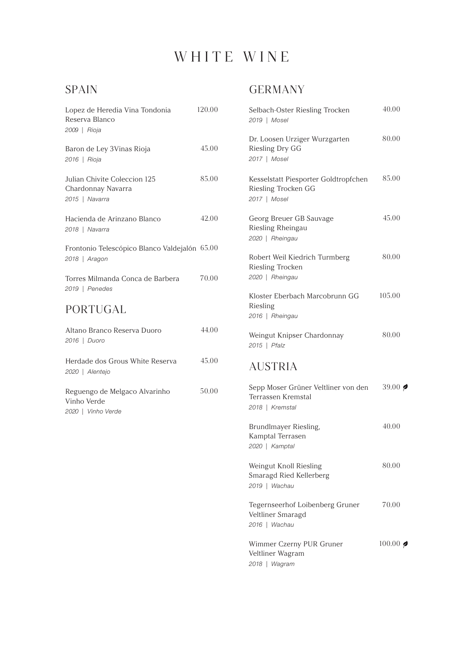# WHITE WINE

### SPAIN

| Lopez de Heredia Vina Tondonia<br>Reserva Blanco<br>2009   Rioja     | 120.00 | Selbach-Oster Riesling Trocken<br>2019   Mosel                               | 40.00  |
|----------------------------------------------------------------------|--------|------------------------------------------------------------------------------|--------|
| Baron de Ley 3Vinas Rioja<br>2016   Rioja                            | 45.00  | Dr. Loosen Urziger Wurzgarten<br>Riesling Dry GG<br>2017   Mosel             | 80.00  |
| Julian Chivite Coleccion 125<br>Chardonnay Navarra<br>2015   Navarra | 85.00  | Kesselstatt Piesporter Goldtropfchen<br>Riesling Trocken GG<br>2017   Mosel  | 85.00  |
| Hacienda de Arinzano Blanco<br>2018   Navarra                        | 42.00  | Georg Breuer GB Sauvage<br>Riesling Rheingau<br>2020   Rheingau              | 45.00  |
| Frontonio Telescópico Blanco Valdejalón 65.00<br>2018   Aragon       |        | Robert Weil Kiedrich Turmberg<br>Riesling Trocken                            | 80.00  |
| Torres Milmanda Conca de Barbera<br>2019   Penedes                   | 70.00  | 2020   Rheingau<br>Kloster Eberbach Marcobrunn GG                            | 105.00 |
| PORTUGAL                                                             |        | Riesling<br>2016   Rheingau                                                  |        |
| Altano Branco Reserva Duoro<br>2016   Duoro                          | 44.00  | Weingut Knipser Chardonnay<br>2015   Pfalz                                   | 80.00  |
| Herdade dos Grous White Reserva<br>2020   Alentejo                   | 45.00  | <b>AUSTRIA</b>                                                               |        |
| Reguengo de Melgaco Alvarinho<br>Vinho Verde<br>2020   Vinho Verde   | 50.00  | Sepp Moser Grüner Veltliner von den<br>Terrassen Kremstal<br>2018   Kremstal | 39.00  |
|                                                                      |        | Brundlmayer Riesling,<br>Kamptal Terrasen<br>2020   Kamptal                  | 40.00  |

#### GERMANY

| Selbach-Oster Riesling Trocken<br>2019   Mosel                               | 40.00              |
|------------------------------------------------------------------------------|--------------------|
| Dr. Loosen Urziger Wurzgarten<br>Riesling Dry GG<br>2017   Mosel             | 80.00              |
| Kesselstatt Piesporter Goldtropfchen<br>Riesling Trocken GG<br>2017   Mosel  | 85.00              |
| Georg Breuer GB Sauvage<br>Riesling Rheingau<br>2020   Rheingau              | 45.00              |
| Robert Weil Kiedrich Turmberg<br>Riesling Trocken<br>2020   Rheingau         | 80.00              |
| Kloster Eberbach Marcobrunn GG<br>Riesling<br>2016   Rheingau                | 105.00             |
| Weingut Knipser Chardonnay<br>2015   Pfalz                                   | 80.00              |
| <b>AUSTRIA</b>                                                               |                    |
| Sepp Moser Grüner Veltliner von den<br>Terrassen Kremstal<br>2018   Kremstal | 39.00 $\bigotimes$ |
| Brundlmayer Riesling,<br>Kamptal Terrasen<br>2020   Kamptal                  | 40.00              |
| Weingut Knoll Riesling<br>Smaragd Ried Kellerberg<br>2019   Wachau           | 80.00              |
| Tegernseerhof Loibenberg Gruner<br>Veltliner Smaragd<br>2016   Wachau        | 70.00              |
| Wimmer Czerny PUR Gruner<br>Veltliner Wagram<br>2018   Wagram                | $100.00$ $\phi$    |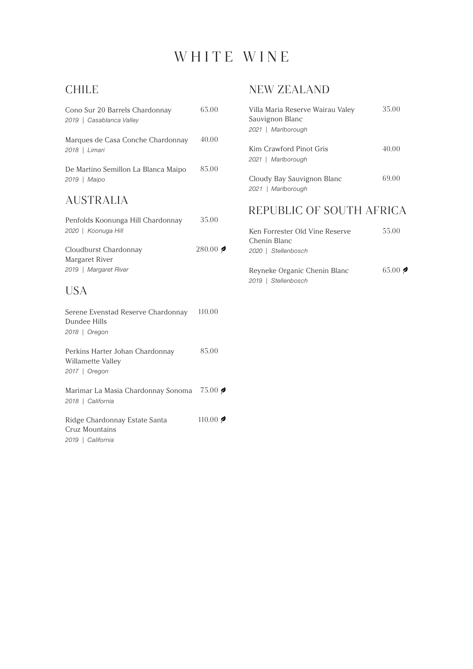### WHITE WINE

#### CHILE

| Cono Sur 20 Barrels Chardonnay<br>2019   Casablanca Valley            | 65.00  |
|-----------------------------------------------------------------------|--------|
| Marques de Casa Conche Chardonnay<br>2018   Limari                    | 40.00  |
| De Martino Semillon La Blanca Maipo<br>2019   Maipo                   | 85.00  |
| <b>AUSTRALIA</b>                                                      |        |
| Penfolds Koonunga Hill Chardonnay<br>2020   Koonuga Hill              | 35.00  |
| Cloudburst Chardonnay<br>Margaret River<br>2019   Margaret River      | 280.00 |
| <b>USA</b>                                                            |        |
| Serene Evenstad Reserve Chardonnay<br>Dundee Hills<br>2018   Oregon   | 110.00 |
| Perkins Harter Johan Chardonnay<br>Willamette Valley<br>2017   Oregon | 85.00  |
| Marimar La Masia Chardonnay Sonoma<br>2018   California               | 75.00  |
| Ridge Chardonnay Estate Santa<br>Cruz Mountains<br>2019   California  | 110.00 |

#### NEW ZEALAND

| Villa Maria Reserve Wairau Valey<br>Sauvignon Blanc<br>2021   Marlborough | 35.00 |
|---------------------------------------------------------------------------|-------|
| Kim Crawford Pinot Gris<br>2021   Marlborough                             | 40.00 |
| Cloudy Bay Sauvignon Blanc<br>2021   Marlborough                          | 69.00 |
| REPUBLIC OF SOUTH AFRICA                                                  |       |

| Ken Forrester Old Vine Reserve<br>Chenin Blanc<br>2020   Stellenbosch | 55.00                         |
|-----------------------------------------------------------------------|-------------------------------|
| Reyneke Organic Chenin Blanc<br>2019   Stellenbosch                   | $65.00$ $\blacktriangleright$ |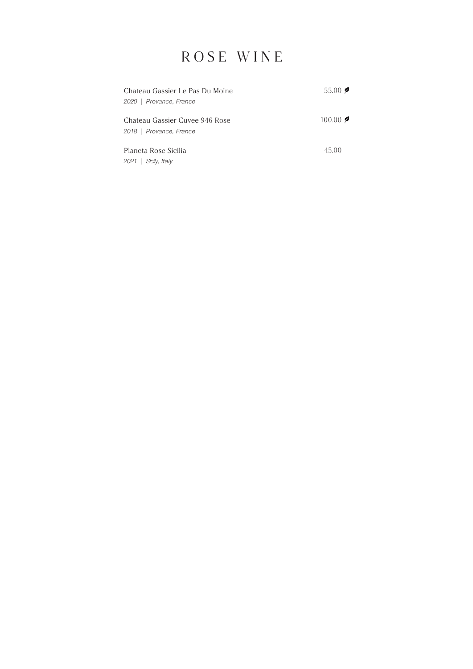### ROSE WINE

| Chateau Gassier Le Pas Du Moine                           | $55.00$ $\triangleright$ |
|-----------------------------------------------------------|--------------------------|
| 2020   Provance, France                                   |                          |
| Chateau Gassier Cuvee 946 Rose<br>2018   Provance, France | $100.00$ 2               |
| Planeta Rose Sicilia                                      | 45.00                    |
| Sicily, Italy<br>2021                                     |                          |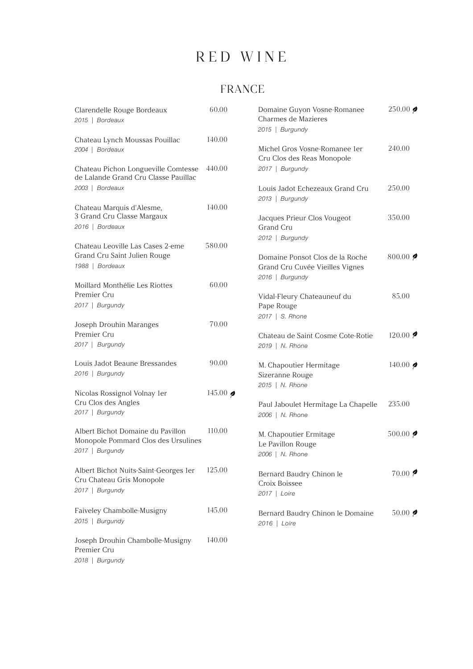### FRANCE

| Clarendelle Rouge Bordeaux<br>2015   Bordeaux                                               | 60.00             | Domaine Guyon Vosne-Romanee<br>Charmes de Mazieres<br>2015   Burgundy                 | $250.00$ $\phi$           |
|---------------------------------------------------------------------------------------------|-------------------|---------------------------------------------------------------------------------------|---------------------------|
| Chateau Lynch Moussas Pouillac<br>2004   Bordeaux                                           | 140.00            | Michel Gros Vosne-Romanee 1er<br>Cru Clos des Reas Monopole                           | 240.00                    |
| Chateau Pichon Longueville Comtesse<br>de Lalande Grand Cru Classe Pauillac                 | 440.00            | 2017   Burgundy                                                                       |                           |
| 2003   Bordeaux                                                                             |                   | Louis Jadot Echezeaux Grand Cru<br>2013   Burgundy                                    | 250.00                    |
| Chateau Marquis d'Alesme,<br>3 Grand Cru Classe Margaux<br>2016   Bordeaux                  | 140.00            | Jacques Prieur Clos Vougeot<br>Grand Cru                                              | 350.00                    |
| Chateau Leoville Las Cases 2-eme                                                            | 580.00            | 2012   Burgundy                                                                       |                           |
| Grand Cru Saint Julien Rouge<br>1988   Bordeaux                                             |                   | Domaine Ponsot Clos de la Roche<br>Grand Cru Cuvée Vieilles Vignes<br>2016   Burgundy | 800.00 $\bigotimes$       |
| Moillard Monthélie Les Riottes<br>Premier Cru<br>2017   Burgundy                            | 60.00             | Vidal-Fleury Chateauneuf du<br>Pape Rouge                                             | 85.00                     |
| Joseph Drouhin Maranges<br>Premier Cru                                                      | 70.00             | 2017   S. Rhone<br>Chateau de Saint Cosme Cote-Rotie                                  | $120.00$ $\triangleright$ |
| 2017   Burgundy                                                                             |                   | 2019   N. Rhone                                                                       |                           |
| Louis Jadot Beaune Bressandes<br>2016   Burgundy                                            | 90.00             | M. Chapoutier Hermitage<br>Sizeranne Rouge                                            | 140.00 $\bullet$          |
| Nicolas Rossignol Volnay 1er<br>Cru Clos des Angles                                         | 145.00 $\bigcirc$ | 2015   N. Rhone<br>Paul Jaboulet Hermitage La Chapelle                                | 235.00                    |
| 2017   Burgundy                                                                             |                   | 2006   N. Rhone                                                                       |                           |
| Albert Bichot Domaine du Pavillon<br>Monopole Pommard Clos des Ursulines<br>2017   Burgundy | 110.00            | M. Chapoutier Ermitage<br>Le Pavillon Rouge<br>2006   N. Rhone                        | $500.00$ $\phi$           |
| Albert Bichot Nuits-Saint-Georges 1er<br>Cru Chateau Gris Monopole<br>2017   Burgundy       | 125.00            | Bernard Baudry Chinon le<br>Croix Boissee<br>2017   Loire                             | $70.00$ $\triangleright$  |
| Faiveley Chambolle-Musigny<br>2015   Burgundy                                               | 145.00            | Bernard Baudry Chinon le Domaine<br>2016   Loire                                      | $50.00$ $\phi$            |
| Joseph Drouhin Chambolle-Musigny<br>Premier Cru<br>2018   Burgundy                          | 140.00            |                                                                                       |                           |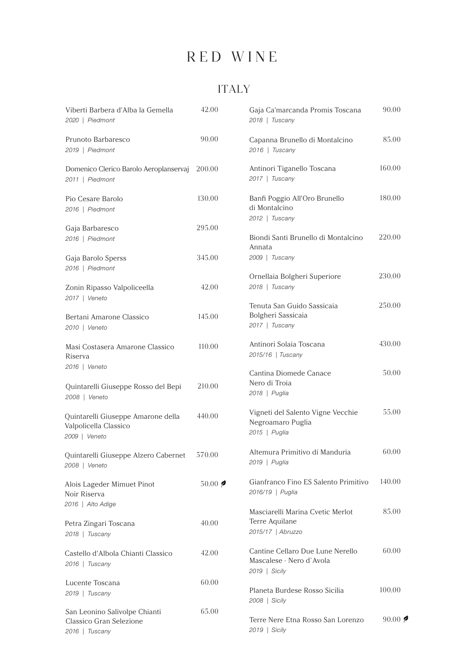### ITALY

| Viberti Barbera d'Alba la Gemella<br>2020   Piedmont                         | 42.00          | Gaja Ca'marcanda Promis Toscana<br>2018   Tuscany                             | 90.00           |
|------------------------------------------------------------------------------|----------------|-------------------------------------------------------------------------------|-----------------|
| Prunoto Barbaresco<br>2019   Piedmont                                        | 90.00          | Capanna Brunello di Montalcino<br>2016   Tuscany                              | 85.00           |
| Domenico Clerico Barolo Aeroplanservaj<br>2011   Piedmont                    | 200.00         | Antinori Tiganello Toscana<br>2017   Tuscany                                  | 160.00          |
| Pio Cesare Barolo<br>2016   Piedmont                                         | 130.00         | Banfi Poggio All'Oro Brunello<br>di Montalcino<br>2012   Tuscany              | 180.00          |
| Gaja Barbaresco                                                              | 295.00         |                                                                               |                 |
| 2016   Piedmont                                                              |                | Biondi Santi Brunello di Montalcino<br>Annata                                 | 220.00          |
| Gaja Barolo Sperss                                                           | 345.00         | 2009   Tuscany                                                                |                 |
| 2016   Piedmont<br>Zonin Ripasso Valpoliceella                               | 42.00          | Ornellaia Bolgheri Superiore<br>2018   Tuscany                                | 230.00          |
| 2017   Veneto                                                                |                | Tenuta San Guido Sassicaia                                                    | 250.00          |
| Bertani Amarone Classico<br>2010   Veneto                                    | 145.00         | Bolgheri Sassicaia<br>2017   Tuscany                                          |                 |
| Masi Costasera Amarone Classico<br>Riserva                                   | 110.00         | Antinori Solaia Toscana<br>2015/16   Tuscany                                  | 430.00          |
| 2016   Veneto                                                                |                | Cantina Diomede Canace                                                        | 50.00           |
| Quintarelli Giuseppe Rosso del Bepi<br>2008   Veneto                         | 210.00         | Nero di Troia<br>2018   Puglia                                                |                 |
| Quintarelli Giuseppe Amarone della<br>Valpolicella Classico<br>2009   Veneto | 440.00         | Vigneti del Salento Vigne Vecchie<br>Negroamaro Puglia<br>2015   Puglia       | 55.00           |
| Quintarelli Giuseppe Alzero Cabernet<br>2008   Veneto                        | 570.00         | Altemura Primitivo di Manduria<br>2019   Puglia                               | 60.00           |
| Alois Lageder Mimuet Pinot<br>Noir Riserva                                   | $50.00$ $\phi$ | Gianfranco Fino ES Salento Primitivo<br>2016/19   Puglia                      | 140.00          |
| 2016   Alto Adige                                                            |                | Masciarelli Marina Cvetic Merlot                                              | 85.00           |
| Petra Zingari Toscana<br>2018   Tuscany                                      | 40.00          | Terre Aquilane<br>2015/17   Abruzzo                                           |                 |
| Castello d'Albola Chianti Classico<br>2016   Tuscany                         | 42.00          | Cantine Cellaro Due Lune Nerello<br>Mascalese - Nero d'Avola<br>2019   Sicily | 60.00           |
| Lucente Toscana                                                              | 60.00          |                                                                               |                 |
| 2019   Tuscany                                                               |                | Planeta Burdese Rosso Sicilia<br>2008   Sicily                                | 100.00          |
| San Leonino Salivolpe Chianti<br>Classico Gran Selezione<br>2016   Tuscany   | 65.00          | Terre Nere Etna Rosso San Lorenzo<br>2019   Sicily                            | 90.00 $\approx$ |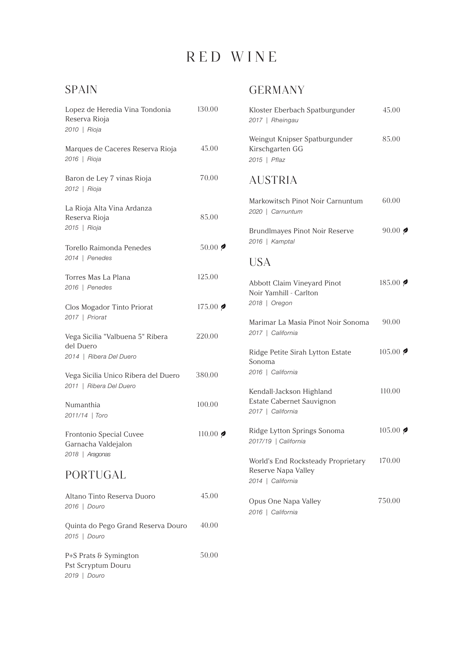#### SPAIN

| Lopez de Heredia Vina Tondonia<br>Reserva Rioja<br>2010   Rioja          | 130.00                   |
|--------------------------------------------------------------------------|--------------------------|
| Marques de Caceres Reserva Rioja<br>2016   Rioja                         | 45.00                    |
| Baron de Ley 7 vinas Rioja<br>2012   Rioja                               | 70.00                    |
| La Rioja Alta Vina Ardanza<br>Reserva Rioja<br>2015   Rioja              | 85.00                    |
| Torello Raimonda Penedes<br>2014   Penedes                               | $50.00$ $\triangleright$ |
| Torres Mas La Plana<br>2016   Penedes                                    | 125.00                   |
| Clos Mogador Tinto Priorat<br>2017   Priorat                             | $175.00$ $\phi$          |
| Vega Sicilia "Valbuena 5" Ribera<br>del Duero<br>2014   Ribera Del Duero | 220.00                   |
| Vega Sicilia Unico Ribera del Duero<br>2011   Ribera Del Duero           | 380.00                   |
| Numanthia<br>2011/14   Toro                                              | 100.00                   |
| Frontonio Special Cuvee<br>Garnacha Valdejalon<br>2018   Aragonas        | $110.00$ $\phi$          |
| PORTUGAL                                                                 |                          |
| Altano Tinto Reserva Duoro<br>2016   Douro                               | 45.00                    |
| Quinta do Pego Grand Reserva Douro<br>2015   Douro                       | 40.00                    |
| P+S Prats & Symington<br>Pst Scryptum Douru<br>2019   Douro              | 50.00                    |

#### GERMANY

| Kloster Eberbach Spatburgunder<br>2017   Rheingau                              | 45.00                     |
|--------------------------------------------------------------------------------|---------------------------|
| Weingut Knipser Spatburgunder<br>Kirschgarten GG<br>2015   Pflaz               | 85.00                     |
| <b>AUSTRIA</b>                                                                 |                           |
| Markowitsch Pinot Noir Carnuntum<br>2020   Carnuntum                           | 60.00                     |
| Brundlmayes Pinot Noir Reserve<br>2016   Kamptal                               | 90.00                     |
| <b>USA</b>                                                                     |                           |
| Abbott Claim Vineyard Pinot<br>Noir Yamhill - Carlton<br>2018   Oregon         | 185.00                    |
| Marimar La Masia Pinot Noir Sonoma<br>2017   California                        | 90.00                     |
| Ridge Petite Sirah Lytton Estate<br>Sonoma<br>2016   California                | $105.00$ $\triangleright$ |
| Kendall-Jackson Highland<br>Estate Cabernet Sauvignon<br>2017   California     | 110.00                    |
| Ridge Lytton Springs Sonoma<br>2017/19   California                            | $105.00$ $\blacktriangle$ |
| World's End Rocksteady Proprietary<br>Reserve Napa Valley<br>2014   California | 170.00                    |
| Opus One Napa Valley<br>2016   California                                      | 750.00                    |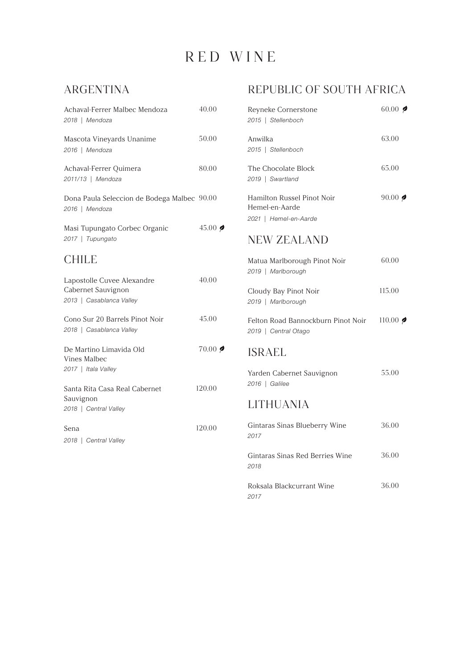### ARGENTINA

| Achaval-Ferrer Malbec Mendoza<br>2018   Mendoza                              | 40.00               |  |
|------------------------------------------------------------------------------|---------------------|--|
| Mascota Vineyards Unanime<br>2016   Mendoza                                  | 50.00               |  |
| Achaval-Ferrer Quimera<br>2011/13   Mendoza                                  | 80.00               |  |
| Dona Paula Seleccion de Bodega Malbec 90.00<br>2016   Mendoza                |                     |  |
| Masi Tupungato Corbec Organic<br>2017   Tupungato                            | 45.00 $\triangle$   |  |
| <b>CHILE</b>                                                                 |                     |  |
| Lapostolle Cuvee Alexandre<br>Cabernet Sauvignon<br>2013   Casablanca Valley | 40.00               |  |
| Cono Sur 20 Barrels Pinot Noir<br>2018   Casablanca Valley                   | 45.00               |  |
| De Martino Limavida Old<br><b>Vines Malbec</b><br>2017   Itala Valley        | $70.00$ $\triangle$ |  |
| Santa Rita Casa Real Cabernet<br>Sauvignon<br>2018   Central Valley          | 120.00              |  |
| Sena<br>2018   Central Valley                                                | 120.00              |  |

#### REPUBLIC OF SOUTH AFRICA

| Reyneke Cornerstone<br>2015   Stellenboch                                    | 60.00 $\bullet$ |
|------------------------------------------------------------------------------|-----------------|
| Anwilka<br>2015   Stellenboch                                                | 63.00           |
| The Chocolate Block<br>2019   Swartland                                      | 65.00           |
| <b>Hamilton Russel Pinot Noir</b><br>Hemel-en-Aarde<br>2021   Hemel-en-Aarde | $90.00$ $\phi$  |
| <b>NEW ZEALAND</b>                                                           |                 |
| Matua Marlborough Pinot Noir<br>2019   Marlborough                           | 60.00           |
| Cloudy Bay Pinot Noir<br>2019   Marlborough                                  | 115.00          |
| Felton Road Bannockburn Pinot Noir<br>2019   Central Otago                   | $110.00$ $\phi$ |
| <b>ISRAEL</b>                                                                |                 |
| Yarden Cabernet Sauvignon<br>2016   Galilee                                  | 55.00           |
| <b>LITHUANIA</b>                                                             |                 |
| Gintaras Sinas Blueberry Wine<br>2017                                        | 36.00           |
| Gintaras Sinas Red Berries Wine<br>2018                                      | 36.00           |
| Roksala Blackcurrant Wine<br>2017                                            | 36.00           |